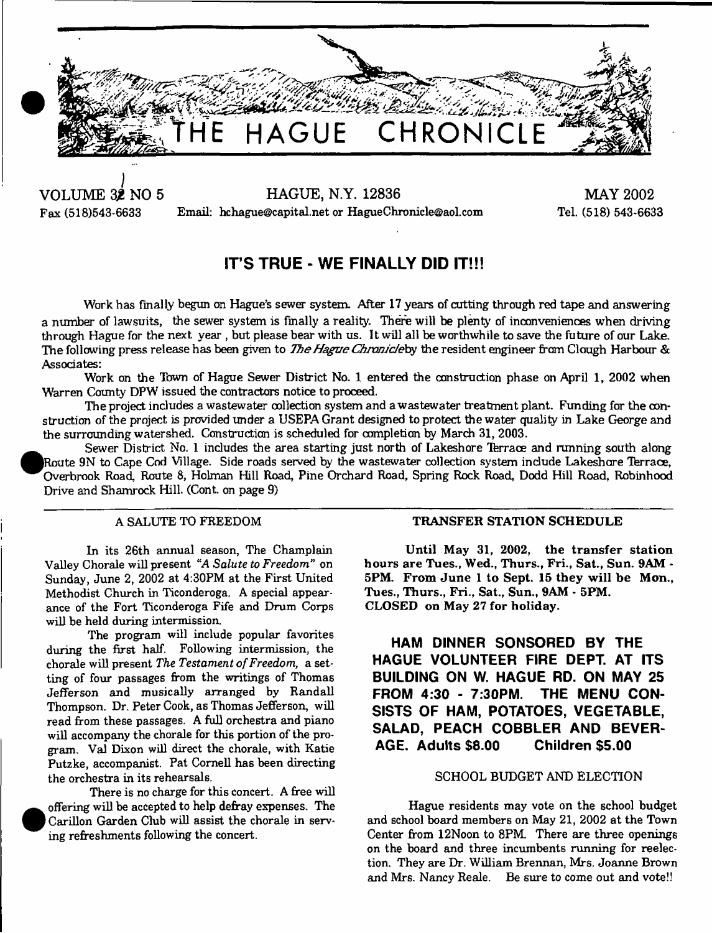

**•**

**•**

**VOLUME 3£ NO 5 HAGUE, N.Y. 12836** Fax (518)543-6633 Email: [hchagne@capital.net](mailto:hchagne@capital.net) or [HagueChronicle@aol.com](mailto:HagueChronicle@aol.com)

**MAY 2002** Tel. (518) 543-6633

# **IT'S TRUE - WE FINALLY DID IT!!!**

Work has finally begun on Hague's sewer system. After 17 years of cutting through red tape and answering a number of lawsuits, the sewer system is finally a reality. There will be plenty of inconveniences when driving through Hague for the next year , but please bear with us. It will all be worthwhile to save the future of our Lake. The following press release has been given to *The Hague Chronicle* by the resident engineer from Clough Harbour & Associates:

Work on the Town of Hague Sewer District No. 1 entered the construction phase on April 1, 2002 when Warren County DPW issued the contractors notice to proceed.

The project includes a wastewater collection system and a wastewater treatment plant. Funding for the construction of the project is provided under a USEPA Grant designed to protect the water quality in Lake George and the surrounding watershed. Construction is scheduled far completion by March 31, 2003.

Sewer District No. 1 includes the area starting just north of Lakeshore Terrace and running south along Route 9N to Cape Cod Village. Side roads served by the wastewater collection system include Lakeshore Terrace, Overbrook Road, Route 8, Holman Hill Road, Pine Orchard Road, Spring Rock Road, Dodd Hill Road, Robinhood Drive and Shamrock Hill. (Cont. on page 9)

# A SALUTE TO FREEDOM

In its 26th annual season, The Champlain Valley Chorale will present *"A Salute to Freedom"* on Sunday, June 2, 2002 at 4:30PM at the First United Methodist Church in Ticonderoga. A special appearance of the Fort Ticonderoga Fife and Drum Corps will be held during intermission.

The program will include popular favorites during the first half. Following intermission, the chorale will present *The Testament of Freedom*, a setting of four passages from the writings of Thomas Jefferson and musically arranged by Randall Thompson. Dr. Peter Cook, as Thomas Jefferson, will read from these passages. A full orchestra and piano will accompany the chorale for this portion of the program. Val Dixon will direct the chorale, with Katie Putzke, accompanist. Pat Cornell has been directing the orchestra in its rehearsals.

There is no charge for this concert. A free will offering will be accepted to help defray expenses. The Carillon Garden Club will assist the chorale in serving refreshments following the concert.

## **TRANSFER STATION SCHEDULE**

**Until May 31, 2002, the transfer station hours are Tues., Wed., Thurs., Fri., Sat., Sun. 9AM - 5PM. From June 1 to Sept. 15 they will be Mon., Tues., Thurs., Fri., Sat., Sun., 9AM - 5PM. CLOSED on May 27 for holiday.**

**HAM DINNER SONSORED BY THE** HAGUE VOLUNTEER FIRE DEPT. AT ITS **BUILDING ON W. HAGUE RD. ON MAY 25 FROM 4:30 - 7:30PM. THE MENU CON-SISTS OF HAM, POTATOES, VEGETABLE, SALAD, PEACH COBBLER AND BEVER-AGE. Adults \$8.00 Children \$5.00**

# SCHOOL BUDGET AND ELECTION

Hague residents may vote on the school budget and school board members on May 21, 2002 at the Town Center from 12Noon to 8PM There are three openings on the board and three incumbents running for reelection. They are Dr. William Brennan, Mrs. Joanne Brown and Mrs. Nancy Reale. Be sure to come out and vote!!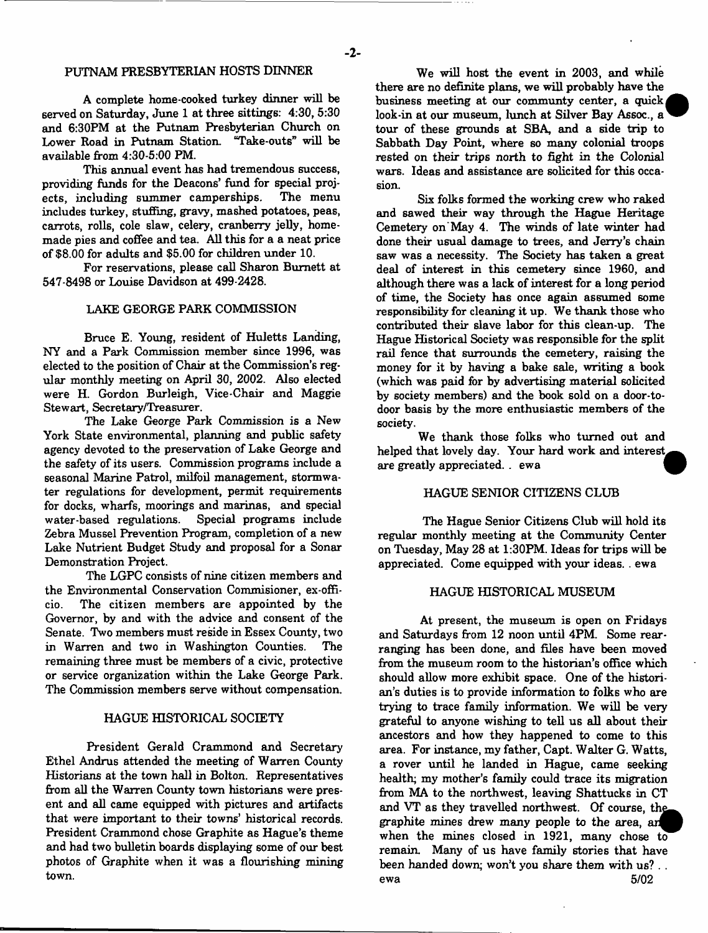### PUTNAM PRESBYTERIAN HOSTS DINNER

A complete home-cooked turkey dinner will be served on Saturday, June 1 at three sittings: 4:30, 5:30 and 6:30PM at the Putnam Presbyterian Church on Lower Road in Putnam Station. "Take-outs" will be available from 4:30-5:00 PM.

This annual event has had tremendous success, providing funds for the Deacons' fund for special projects, including summer camperships. includes turkey, stuffing, gravy, mashed potatoes, peas, carrots, rolls, cole slaw, celery, cranberry jelly, homemade pies and coffee and tea. All this for a a neat price of \$8.00 for adults and \$5.00 for children under 10.

For reservations, please call Sharon Burnett at 547-8498 or Louise Davidson at 499-2428.

#### LAKE GEORGE PARK COMMISSION

Bruce E. Young, resident of Huletts Landing, NY and a Park Commission member since 1996, was elected to the position of Chair at the Commission's regular monthly meeting on April 30, 2002. Also elected were H. Gordon Burleigh, Vice-Chair and Maggie Stewart, Secretary/Treasurer.

The Lake George Park Commission is a New York State environmental, planning and public safety agency devoted to the preservation of Lake George and the safety of its users. Commission programs include a seasonal Marine Patrol, milfoil management, stormwater regulations for development, permit requirements for docks, wharfs, moorings and marinas, and special water-based regulations. Special programs include Zebra Mussel Prevention Program, completion of a new Lake Nutrient Budget Study and proposal for a Sonar Demonstration Project.

The LGPC consists of nine citizen members and the Environmental Conservation Commisioner, ex-officio. The citizen members are appointed by the Governor, by and with the advice and consent of the Senate. Two members must reside in Essex County, two in Warren and two in Washington Counties. The remaining three must be members of a civic, protective or service organization within the Lake George Park. The Commission members serve without compensation.

#### HAGUE HISTORICAL SOCIETY

President Gerald Crammond and Secretary Ethel Andrus attended the meeting of W arren County Historians at the town hall in Bolton. Representatives from all the Warren County town historians were present and all came equipped with pictures and artifacts that were important to their towns' historical records. President Crammond chose Graphite as Hague's theme and had two bulletin boards displaying some of our best photos of Graphite when it was a flourishing mining town.

We will host the event in 2003, and while there are no definite plans, we will probably have the business meeting at our communty center, a quick look-in at our museum, lunch at Silver Bay Assoc., a tour of these grounds at SBA, and a side trip to Sabbath Day Point, where so many colonial troops rested on their trips north to fight in the Colonial wars. Ideas and assistance are solicited for this occasion.

Six folks formed the working crew who raked and sawed their way through the Hague Heritage Cemetery on'May 4. The winds of late winter had done their usual damage to trees, and Jerry's chain saw was a necessity. The Society has taken a great deal of interest in this cemetery since 1960, and although there was a lack of interest for a long period of time, the Society has once again assumed some responsibility for cleaning it up. We thank those who contributed their slave labor for this clean-up. The Hague Historical Society was responsible for the split rail fence that surrounds the cemetery, raising the money for it by having a bake sale, writing a book (which was paid for by advertising material solicited by society members) and the book sold on a door-todoor basis by the more enthusiastic members of the society.

We thank those folks who turned out and helped that lovely day. Your hard work and interest, are greatly appreciated. . ewa

### HAGUE SENIOR CITIZENS CLUB

The Hague Senior Citizens Club will hold its regular monthly meeting at the Community Center on Tuesday, May 28 at 1:30PM. Ideas for trips will be appreciated. Come equipped with your ideas. . ewa

### HAGUE HISTORICAL MUSEUM

At present, the museum is open on Fridays and Saturdays from 12 noon until 4PM. Some rearranging has been done, and files have been moved from the museum room to the historian's office which should allow more exhibit space. One of the historian's duties is to provide information to folks who are trying to trace family information. We will be very grateful to anyone wishing to tell us all about their ancestors and how they happened to come to this area. For instance, my father, Capt. W alter G. W atts, a rover until he landed in Hague, came seeking health; my mother's family could trace its migration from MA to the northwest, leaving Shattucks in CT and VT as they travelled northwest. Of course, graphite mines drew many people to the area, when the mines closed in 1921, many chose to remain. Many of us have family stories that have been handed down; won't you share them with us? . . ewa 5/02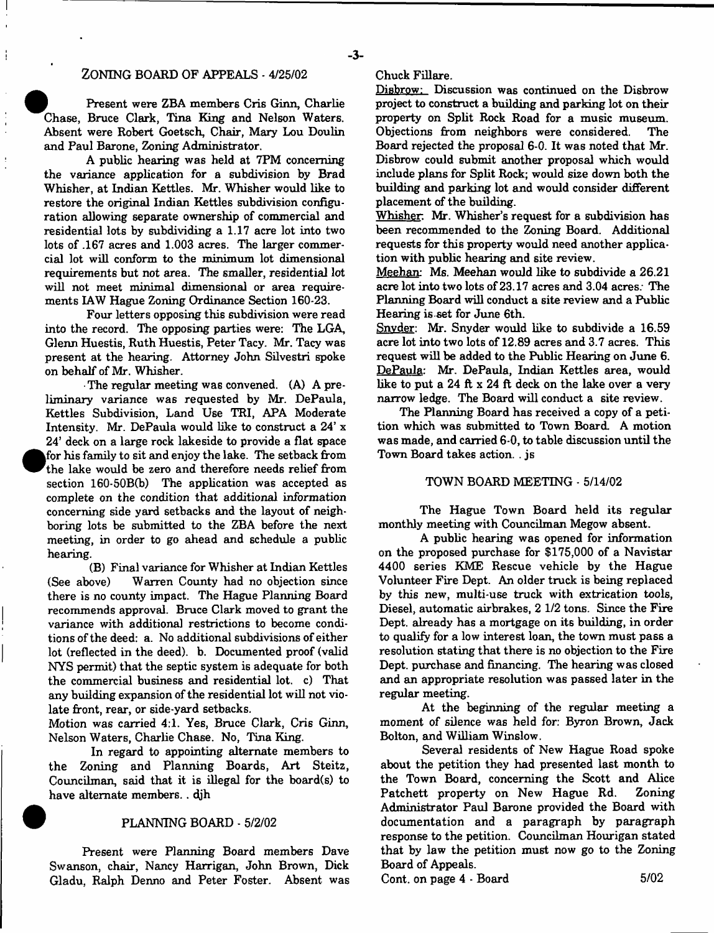# ZONING BOARD OF APPEALS - 4/25/02

Present were ZBA members Cris Ginn, Charlie Chase, Bruce Clark, Tina King and Nelson Waters. Absent were Robert Goetsch, Chair, Mary Lou Doulin and Paul Barone, Zoning Administrator.

A public hearing was held at 7PM concerning the variance application for a subdivision by Brad Whisher, at Indian Kettles. Mr. Whisher would like to restore the original Indian Kettles subdivision configuration allowing separate ownership of commercial and residential lots by subdividing a 1.17 acre lot into two lots of .167 acres and 1.003 acres. The larger commercial lot will conform to the minimum lot dimensional requirements but not area. The smaller, residential lot will not meet minimal dimensional or area requirements IAW Hague Zoning Ordinance Section 160-23.

Four letters opposing this subdivision were read into the record. The opposing parties were: The LGA, Glenn Huestis, Ruth Huestis, Peter Tacy. Mr. Tacy was present at the hearing. Attorney John Silvestri spoke on behalf of Mr. Whisher.

• The regular meeting was convened. (A) A preliminary variance was requested by Mr. DePaula, Kettles Subdivision, Land Use TRI, APA Moderate Intensity. Mr. DePaula would like to construct a 24' x 24' deck on a large rock lakeside to provide a flat space for his family to sit and enjoy the lake. The setback from the lake would be zero and therefore needs relief from section 160-50B(b) The application was accepted as complete on the condition that additional information concerning side yard setbacks and the layout of neighboring lots be submitted to the ZBA before the next meeting, in order to go ahead and schedule a public hearing.

**•**

(B) Final variance for Whisher at Indian Kettles (See above) Warren County had no objection since there is no county impact. The Hague Planning Board recommends approval. Bruce Clark moved to grant the variance with additional restrictions to become conditions of the deed: a. No additional subdivisions of either lot (reflected in the deed), b. Documented proof (valid NYS permit) that the septic system is adequate for both the commercial business and residential lot. c) That any building expansion of the residential lot will not violate front, rear, or side-yard setbacks.

Motion was carried 4:1. Yes, Bruce Clark, Cris Ginn, Nelson Waters, Charlie Chase. No, Tina King.

In regard to appointing alternate members to the Zoning and Planning Boards, Art Steitz, Councilman, said that it is illegal for the board(s) to have alternate members.. djh

### 9 PLANNING BOARD - 5/2/02

Present were Planning Board members Dave Swanson, chair, Nancy Harrigan, John Brown, Dick Gladu, Ralph Denno and Peter Foster. Absent was Chuck Fillare.

Disbrow: Discussion was continued on the Disbrow project to construct a building and parking lot on their property on Split Rock Road for a music museum. Objections from neighbors were considered. The Board rejected the proposal 6-0. It was noted that Mr. Disbrow could submit another proposal which would include plans for Split Rock; would size down both the building and parking lot and would consider different placement of the building.

Whisher. Mr. Whisher's request for a subdivision has been recommended to the Zoning Board. Additional requests for this property would need another application with public hearing and site review.

Meehan: Ms. Meehan would like to subdivide a 26.21 acre lot into two lots of 23.17 acres and 3.04 acres; The Planning Board will conduct a site review and a Public Hearing is set for June 6th.

Snvder: Mr. Snyder would like to subdivide a 16.59 acre lot into two lots of 12.89 acres and 3.7 acres. This request will be added to the Public Hearing on June 6. DePaula: Mr. DePaula, Indian Kettles area, would like to put a 24 ft  $x$  24 ft deck on the lake over a very narrow ledge. The Board will conduct a site review.

The Planning Board has received a copy of a petition which was submitted to Town Board. A motion was made, and carried 6-0, to table discussion until the Town Board takes action. . js

### TOWN BOARD MEETING - 5/14/02

The Hague Town Board held its regular monthly meeting with Councilman Megow absent.

A public hearing was opened for information on the proposed purchase for  $$175,000$  of a Navistar 4400 series KME Rescue vehicle by the Hague Volunteer Fire Dept. An older truck is being replaced by this new, multi-use truck with extrication tools, Diesel, automatic airbrakes, 2 1/2 tons. Since the Fire Dept, already has a mortgage on its building, in order to qualify for a low interest loan, the town must pass a resolution stating that there is no objection to the Fire Dept, purchase and financing. The hearing was closed and an appropriate resolution was passed later in the regular meeting.

At the beginning of the regular meeting a moment of silence was held for: Byron Brown, Jack Bolton, and William Winslow.

Several residents of New Hague Road spoke about the petition they had presented last month to the Town Board, concerning the Scott and Alice Patchett property on New Hague Rd. Zoning Administrator Paul Barone provided the Board with documentation and a paragraph by paragraph response to the petition. Councilman Hourigan stated that by law the petition must now go to the Zoning Board of Appeals.

Cont. on page 4 - Board 5/02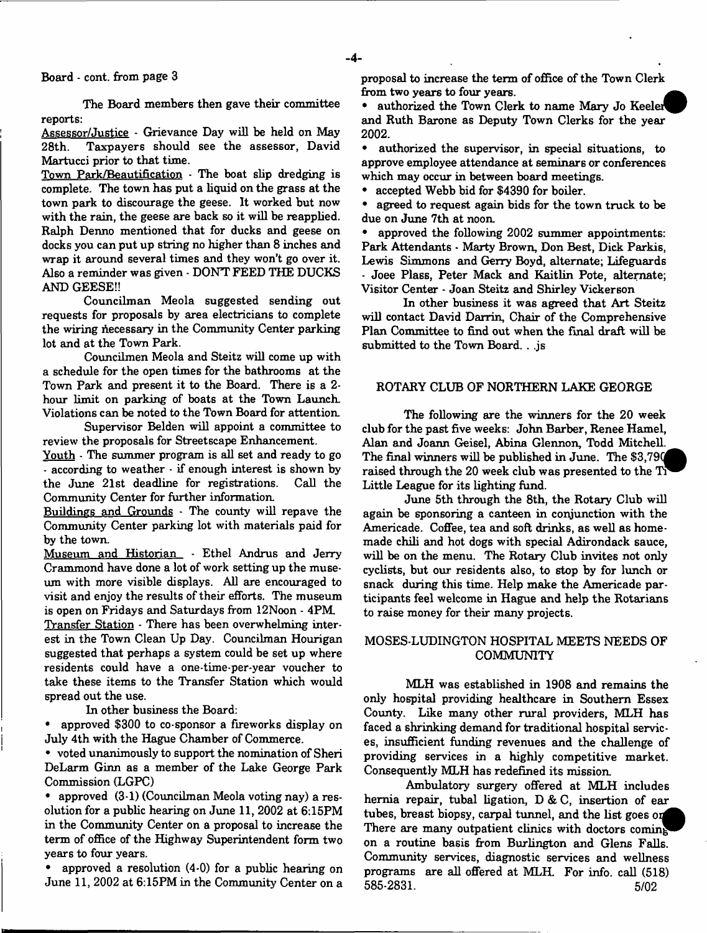# Board - cont. from page 3

The Board members then gave their committee reports:

Assessor/Justice - Grievance Day will be held on May 28th. Taxpayers should see the assessor, David Martucci prior to that time.

Town Park/Beautification - The boat slip dredging is complete. The town has put a liquid on the grass at the town park to discourage the geese. It worked but now with the rain, the geese are back so it will be reapplied. Ralph Denno mentioned that for ducks and geese on docks you can put up string no higher than 8 inches and wrap it around several times and they won't go over it. Also a reminder was given - DON'T FEED THE DUCKS AND GEESE!!

Councilman Meola suggested sending out requests for proposals by area electricians to complete the wiring necessary in the Community Center parking lot and at the Town Park.

Councilmen Meola and Steitz will come up with a schedule for the open times for the bathrooms at the Town Park and present it to the Board. There is a 2 hour limit on parking of boats at the Town Launch. Violations can be noted to the Town Board for attention.

Supervisor Belden will appoint a committee to review the proposals for Streetscape Enhancement.

Youth - The summer program is all set and ready to go - according to weather - if enough interest is shown by the June 21st deadline for registrations. Call the Community Center for further information.

Buildings and Grounds - The county will repave the Community Center parking lot with materials paid for by the town.

Museum and Historian - Ethel Andrus and Jerry Crammond have done a lot of work setting up the museum with more visible displays. All are encouraged to visit and enjoy the results of their efforts. The museum is open on Fridays and Saturdays from 12Noon - 4PM.

Transfer Station - There has been overwhelming interest in the Town Clean Up Day. Councilman Hourigan suggested that perhaps a system could be set up where residents could have a one-time-per-year voucher to take these items to the Transfer Station which would spread out the use.

In other business the Board:

• approved \$300 to co-sponsor a fireworks display on July 4th with the Hague Chamber of Commerce.

• voted unanimously to support the nomination of Sheri DeLarm Ginn as a member of the Lake George Park Commission (LGPC)

• approved (3-1) (Councilman Meola voting nay) a resolution for a public hearing on June 11, 2002 at 6:15PM in the Community Center on a proposal to increase the term of office of the Highway Superintendent form two years to four years.

• approved a resolution (4-0) for a public hearing on June 11, 2002 at 6:15PM in the Community Center on a

proposal to increase the term of office of the Town Clerk from two years to four years.

authorized the Town Clerk to name Mary Jo Keeler and Ruth Barone as Deputy Town Clerks for the year 2002**.**

• authorized the supervisor, in special situations, to approve employee attendance at seminars or conferences which may occur in between board meetings.

• accepted Webb bid for \$4390 for boiler.<br>• agreed to request again bids for the top.

agreed to request again bids for the town truck to be due on June 7th at noon.<br>• approved the followin

• approved the following 2002 summer appointments: Park Attendants - Marty Brown, Don Best, Dick Parkis, Lewis Simmons and Gerry Boyd, alternate; Lifeguards Joee Plass, Peter Mack and Kaitlin Pote, alternate; Visitor Center - Joan Steitz and Shirley Vickerson

In other business it was agreed that Art Steitz will contact David Darrin, Chair of the Comprehensive Plan Committee to find out when the final draft will be submitted to the Town Board. . js

# ROTARY CLUB OF NORTHERN LAKE GEORGE

The following are the winners for the 20 week club for the past five weeks: John Barber, Renee Hamel, Alan and Joann Geisel, Abina Glennon, Todd Mitchell. The final winners will be published in June. The \$3,790 raised through the  $20$  week club was presented to the T Little League for its lighting fund.

June 5th through the 8th, the Rotary Club will again be sponsoring a canteen in conjunction with the Americade. Coffee, tea and soft drinks, as well as homemade chili and hot dogs with special Adirondack sauce, will be on the menu. The Rotary Club invites not only cyclists, but our residents also, to stop by for lunch or snack during this time. Help make the Americade participants feel welcome in Hague and help the Rotarians to raise money for their many projects.

# MOSES-LUDINGTON HOSPITAL MEETS NEEDS OF **COMMUNITY**

MLH was established in 1908 and remains the only hospital providing healthcare in Southern Essex County. Like many other rural providers, MLH has faced a shrinking demand for traditional hospital services, insufficient funding revenues and the challenge of providing services in a highly competitive market. Consequently MLH has redefined its mission.

Ambulatory surgery offered at MLH includes hernia repair, tubal ligation, D & C, insertion of ear tubes, breast biopsy, carpal tunnel, and the list goes on There are many outpatient clinics with doctors coming on a routine basis from Burlington and Glens Falls. Community services, diagnostic services and wellness programs are all offered at MLH. For info, call (518) 585-2831. 5/02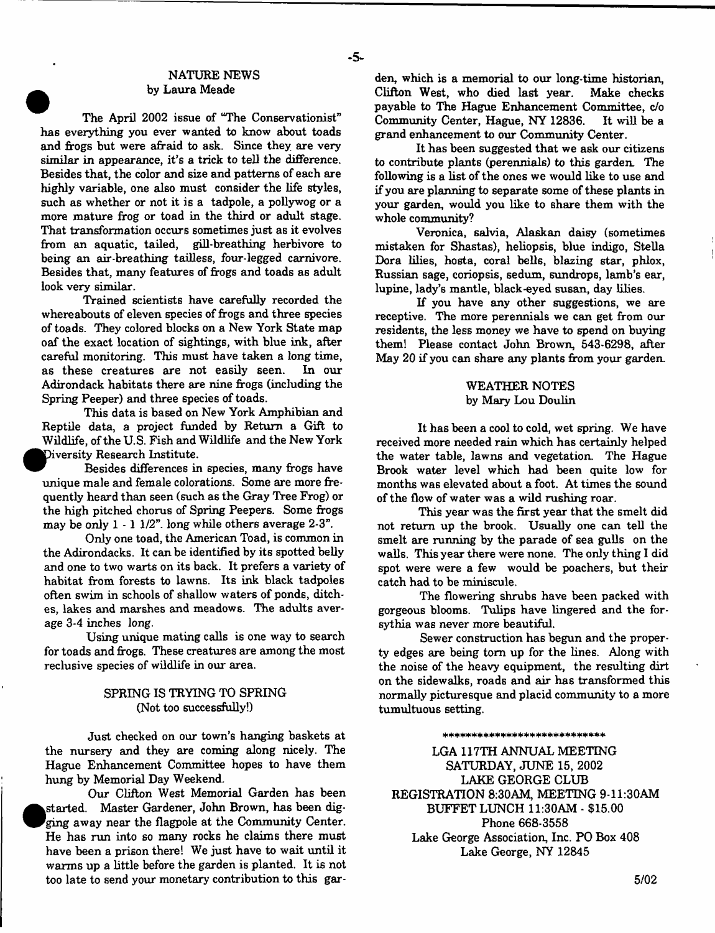## NATURE NEWS by Laura Meade

- **5**-

The April 2002 issue of "The Conservationist" has everything you ever wanted to know about toads and frogs but were afraid to ask. Since they are very similar in appearance, it's a trick to tell the difference. Besides that, the color and size and patterns of each are highly variable, one also must consider the life styles, such as whether or not it is a tadpole, a pollywog or a more mature frog or toad in the third or adult stage. That transformation occurs sometimes just as it evolves from an aquatic, tailed, gill-breathing herbivore to being an air-breathing tailless, four-legged carnivore. Besides that, many features of frogs and toads as adult look very similar.

Trained scientists have carefully recorded the whereabouts of eleven species of frogs and three species of toads. They colored blocks on a New York State map oaf the exact location of sightings, with blue ink, after careful monitoring. This must have taken a long time, as these creatures are not easily seen. In our Adirondack habitats there are nine frogs (including the Spring Peeper) and three species of toads.

This data is based on New York Amphibian and Reptile data, a project funded by Return a Gift to Wildlife, of the U.S. Fish and Wildlife and the New York Diversity Research Institute.

Besides differences in species, many frogs have unique male and female colorations. Some are more frequently heard than seen (such as the Gray Tree Frog) or the high pitched chorus of Spring Peepers. Some frogs may be only 1 - 1 1/2". long while others average 2-3".

Only one toad, the American Toad, is common in the Adirondacks. It can be identified by its spotted belly and one to two warts on its back. It prefers a variety of habitat from forests to lawns. Its ink black tadpoles often swim in schools of shallow waters of ponds, ditches, lakes and marshes and meadows. The adults average 3-4 inches long.

Using unique mating calls is one way to search for toads and frogs. These creatures are among the most reclusive species of wildlife in our area.

# SPRING IS TRYING TO SPRING (Not too successfully!)

Just checked on our town's hanging baskets at the nursery and they are coming along nicely. The Hague Enhancement Committee hopes to have them hung by Memorial Day Weekend.

Our Clifton West Memorial Garden has been started. Master Gardener, John Brown, has been digging away near the flagpole at the Community Center. He has run into so many rocks he claims there must have been a prison there! We just have to wait until it warms up a little before the garden is planted. It is not too late to send your monetary contribution to this garden, which is a memorial to our long-time historian, Clifton West, who died last year. Make checks payable to The Hague Enhancement Committee, c/o<br>Community Center, Hague, NY 12836. It will be a Community Center, Hague, NY 12836. grand enhancement to our Community Center.

It has been suggested that we ask our citizens to contribute plants (perennials) to this garden. The following is a list of the ones we would like to use and if you are planning to separate some of these plants in your garden, would you like to share them with the whole community?

Veronica, salvia, Alaskan daisy (sometimes mistaken for Shastas), heliopsis, blue indigo, Stella Dora lilies, hosta, coral bells, blazing star, phlox, Russian sage, coriopsis, sedum, sundrops, lamb's ear, lupine, lady's mantle, black-eyed susan, day lilies.

If you have any other suggestions, we are receptive. The more perennials we can get from our residents, the less money we have to spend on buying them! Please contact John Brown, 543-6298, after May 20 if you can share any plants from your garden.

### WEATHER NOTES by Mary Lou Doulin

It has been a cool to cold, wet spring. We have received more needed rain which has certainly helped the water table, lawns and vegetation. The Hague Brook water level which had been quite low for months was elevated about a foot. At times the sound of the flow of water was a wild rushing roar.

This year was the first year that the smelt did not return up the brook. Usually one can tell the smelt are running by the parade of sea gulls on the walls. This year there were none. The only thing I did spot were were a few would be poachers, but their catch had to be miniscule.

The flowering shrubs have been packed with gorgeous blooms. Tulips have lingered and the forsythia was never more beautiful.

Sewer construction has begun and the property edges are being tom up for the lines. Along with the noise of the heavy equipment, the resulting dirt on the sidewalks, roads and air has transformed this normally picturesque and placid community to a more tumultuous setting.

\*\*+\*\* ■)< \*\*\*\*\* \* \* \* \*+\*\* \*\*\*\*+

LGA 117TH ANNUAL MEETING SATURDAY, JUNE 15, 2002 LAKE GEORGE CLUB REGISTRATION 8:30AM, MEETING 9-ll:30AM BUFFET LUNCH 11:30AM - \$15.00 Phone 668-3558 Lake George Association, Inc. PO Box 408 Lake George, NY 12845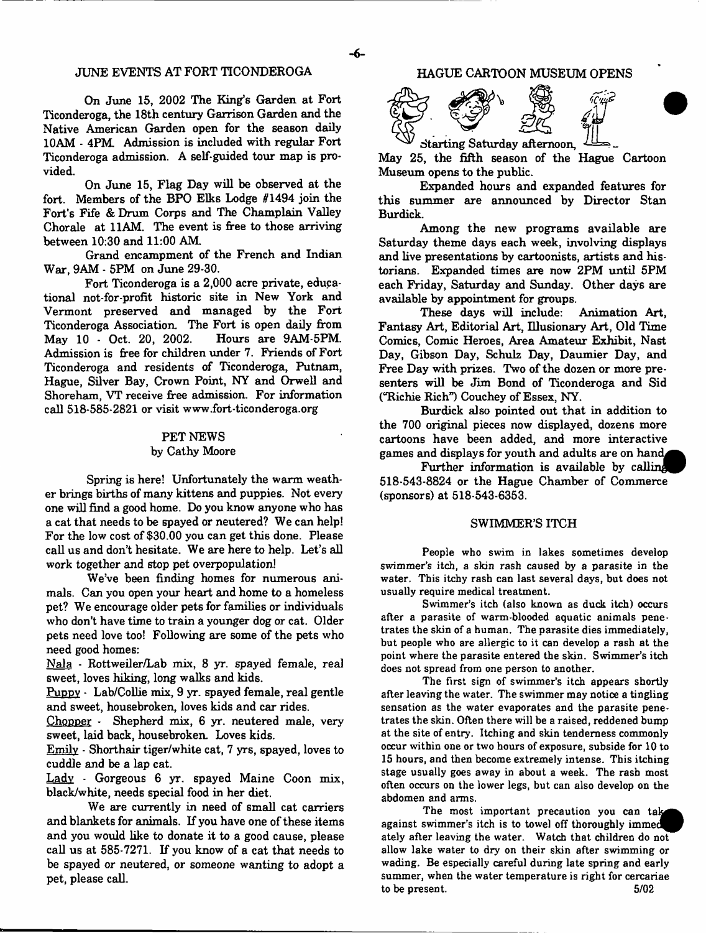### JUNE EVENTS AT FORT TICONDEROGA

On June 15, 2002 The King's Garden at Fort Ticonderoga, the 18th century Garrison Garden and the Native American Garden open for the season daily 10AM - 4PM Admission is included with regular Fort Ticonderoga admission. A self-guided tour map is provided.

On June 15, Flag Day will be observed at the fort. Members of the BPO Elks Lodge #1494 join the Fort's Fife & Drum Corps and The Champlain Valley Chorale at 11AM. The event is free to those arriving between 10:30 and 11:00 AM

Grand encampment of the French and Indian War, 9AM - 5PM on June 29-30.

Fort Ticonderoga is a 2,000 acre private, educational not-for-profit historic site in New York and Vermont preserved and managed by the Fort Ticonderoga Association. The Fort is open daily from May 10 - Oct. 20, 2002. Hours are 9AM-5PM. Admission is free for children under 7. Friends of Fort Ticonderoga and residents of Ticonderoga, Putnam, Hague, Silver Bay, Crown Point, NY and Orwell and Shoreham, VT receive free admission. For information call 518-585-2821 or visit [www.fort-ticonderoga.org](http://www.fort-ticonderoga.org)

### PET NEWS by Cathy Moore

Spring is here! Unfortunately the warm weather brings births of many kittens and puppies. Not every one will find a good home. Do you know anyone who has a cat that needs to be spayed or neutered? We can help! For the low cost of \$30.00 you can get this done. Please call us and don't hesitate. We are here to help. Let's all work together and stop pet overpopulation!

We've been finding homes for numerous animals. Can you open your heart and home to a homeless pet? We encourage older pets for families or individuals who don't have time to train a younger dog or cat. Older pets need love too! Following are some of the pets who need good homes:

Nala - Rottweiler/Lab mix, 8 yr. spayed female, real sweet, loves hiking, long walks and kids.

Puppy - Lab/Collie mix, 9 yr. spayed female, real gentle and sweet, housebroken, loves kids and car rides.

Chopper - Shepherd mix, 6 yr. neutered male, very sweet, laid back, housebroken. Loves kids.

Emily - Shorthair tiger/white cat, 7 yrs, spayed, loves to cuddle and be a lap cat.

Ladv - Gorgeous 6 yr. spayed Maine Coon mix, black/white, needs special food in her diet.

We are currently in need of small cat carriers and blankets for animals. If you have one of these items and you would like to donate it to a good cause, please call us at  $585-7271$ . If you know of a cat that needs to be spayed or neutered, or someone wanting to adopt a pet, please call.

### HAGUE CARTOON MUSEUM OPENS



May 25, the fifth season of the Hague Cartoon Museum opens to the public.

Expanded hours and expanded features for this summer are announced by Director Stan Burdick.

Among the new programs available are Saturday theme days each week, involving displays and live presentations by cartoonists, artists and historians. Expanded times are now 2PM until 5PM each Friday, Saturday and Sunday. Other days are available by appointment for groups.

These days will include: Animation Art, Fantasy Art, Editorial Art, Illusionary Art, Old Time Comics, Comic Heroes, Area Amateur Exhibit, Nast Day, Gibson Day, Schulz Day, Daumier Day, and Free Day with prizes. Two of the dozen or more presenters will be Jim Bond of Ticonderoga and Sid ("Richie Rich") Couchey of Essex, NY.

Burdick also pointed out that in addition to the 700 original pieces now displayed, dozens more cartoons have been added, and more interactive games and displays for youth and adults are on hand.

Further information is available by calling 518-543-8824 or the Hague Chamber of Commerce (sponsors) at 518-543-6353.

### SWIMMER'S ITCH

People who swim in lakes sometimes develop swimmer's itch, a skin rash caused by a parasite in the water. This itchy rash can last several days, but does not usually require medical treatment.

Swimmer's itch (also known as duck itch) occurs after a parasite of warm-blooded aquatic animals penetrates the skin of a human. The parasite dies immediately, but people who are allergic to it can develop a rash at the point where the parasite entered the skin. Swimmer's itch does not spread from one person to another.

The first sign of swimmer's itch appears shortly after leaving the water. The swimmer may notice a tingling sensation as the water evaporates and the parasite penetrates the skin. Often there will be a raised, reddened bump at the site of entry. Itching and skin tenderness commonly occur within one or two hours of exposure, subside for 10 to 15 hours, and then become extremely intense. This itching stage usually goes away in about a week. The rash most often occurs on the lower legs, but can also develop on the abdomen and arms.

The most important precaution you can take against swimmer's itch is to towel off thoroughly immed ately after leaving the water. Watch that children do not allow lake water to dry on their skin after swimming or wading. Be especially careful during late spring and early summer, when the water temperature is right for cercariae to be present. 5/02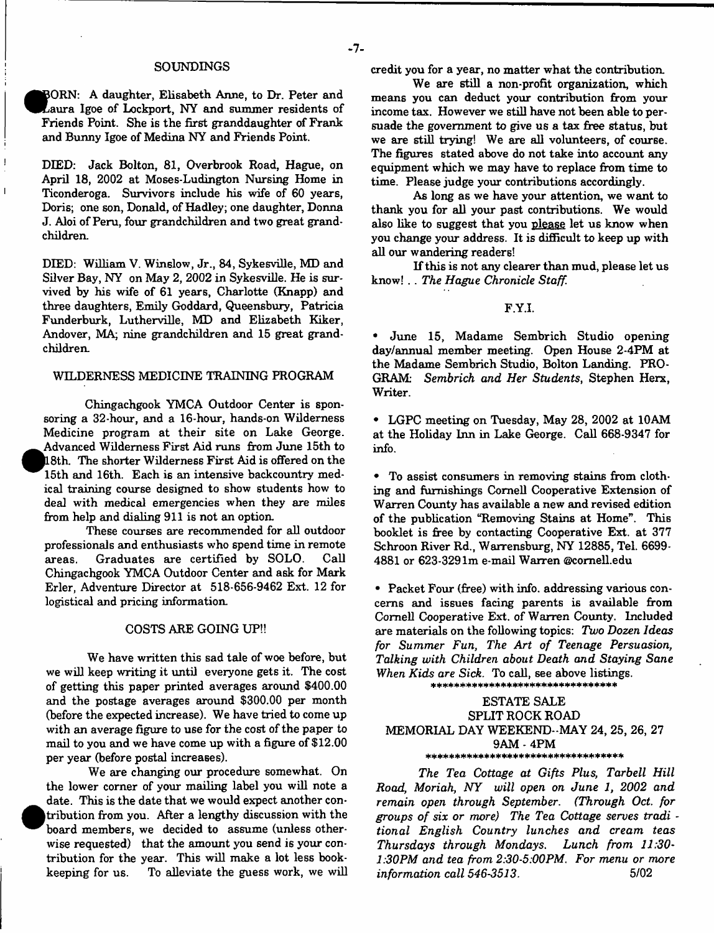#### SOUNDINGS

BORN: A daughter, Elisabeth Anne, to Dr. Peter and Laura Igoe of Lockport, NY and summer residents of Friends Point. She is the first granddaughter of Frank and Bunny Igoe of Medina NY and Friends Point.

DEED: Jack Bolton, 81, Overbrook Road, Hague, on April 18, 2002 at Moses-Ludington Nursing Home in Ticonderoga. Survivors include his wife of 60 years, Doris; one son, Donald, of Hadley; one daughter, Donna J. Aloi of Peru, four grandchildren and two great grandchildren.

DIED: William V. Winslow, Jr., 84, Sykesville, MD and Silver Bay, NY on May 2, 2002 in Sykesville. He is survived by his wife of 61 years, Charlotte (Knapp) and three daughters, Emily Goddard, Queensbury, Patricia Funderburk, Lutherville, MD and Elizabeth Kiker, Andover, MA; nine grandchildren and 15 great grandchildren.

### WILDERNESS MEDICINE TRAINING PROGRAM

Chingachgook YMCA Outdoor Center is sponsoring a 32-hour, and a 16-hour, hands-on Wilderness Medicine program at their site on Lake George. Advanced Wilderness First Aid runs from June 15th to |18th. The shorter Wilderness First Aid is offered on the 15th and 16th. Each is an intensive backcountry medical training course designed to show students how to deal with medical emergencies when they are miles from help and dialing 911 is not an option

**•**

 $\overline{1}$ 

These courses are recommended for aU outdoor professionals and enthusiasts who spend time in remote areas. Graduates are certified by SOLO. Call Chingachgook YMCA Outdoor Center and ask for Mark Erler, Adventure Director at 518-656-9462 Ext. 12 for logistical and pricing information

#### COSTS ARE GOING UP!!

We have written this sad tale of woe before, but we wiU keep writing it until everyone gets it. The cost of getting this paper printed averages around \$400.00 and the postage averages around \$300.00 per month (before the expected increase). We have tried to come up with an average figure to use for the cost of the paper to mail to you and we have come up with a figure of \$12.00 per year (before postal increases).

We are changing our procedure somewhat. On the lower corner of your mailing label you will note a date. This is the date that we would expect another con tribution from you. After a lengthy discussion with the board members, we decided to assume (unless otherwise requested) that the amount you send is your contribution for the year. This will make a lot less bookkeeping for us. To alleviate the guess work, we will credit you for a year, no matter what the contribution.

We are still a non-profit organization, which means you can deduct your contribution from your income tax. However we still have not been able to persuade the government to give us a tax free status, but we are still trying! We are all volunteers, of course. The figures stated above do not take into account any equipment which we may have to replace from time to time. Please judge your contributions accordingly.

As long as we have your attention, we want to thank you for all your past contributions. We would also like to suggest that you please let us know when you change your address. It is difficult to keep up with all our wandering readers!

If this is not any clearer than mud, please let us know! . . *The Hague Chronicle Staff.*

### F.Y.I.

• June 15, Madame Sembrich Studio opening day/annual member meeting. Open House 2-4PM at the Madame Sembrich Studio, Bolton Landing. PRO-GRAM: Sembrich and Her Students, Stephen Herx, Writer.

• LGPC meeting on Tuesday, May 28, 2002 at 10AM at the Holiday Inn in Lake George. Call 668-9347 for info.

• To assist consumers in removing stains from clothing and furnishings Cornell Cooperative Extension of W arren County has available a new and revised edition of the publication "Removing Stains at Home". This booklet is free by contacting Cooperative Ext. at 377 Schroon River Rd., Warrensburg, NY 12885, Tel. 6699- 4881 or 623-329 lm e-mail W arren ©comell.edu

• Packet Four (free) with info, addressing various concerns and issues facing parents is available from Cornell Cooperative Ext. of Warren County. Included are m aterials on the following topics: *Two Dozen Ideas for Summer Fun*, *The Art of Teenage Persuasion, Talking with Children about Death and Staying Sane When Kids are Sick.* To call, see above listings.

ESTATE SALE SPLIT ROCK ROAD MEMORIAL DAY WEEKEND-MAY 24, 25, 26, 27 9AM - 4PM \*\*\*\*\*\*\*\*\*\*\*\*\*\*\*\*\*\*\*\*\*\*\*\*\*\*\*\*\*\*\*\*\*\*\*

\*\*\*\*\*\*\*\*\*\*\*\*\*\*\*\*\*\*\*\*\*\*\*\*\*\*\*

*The Tea Cottage at Gifts Plus, Tarbell Hill Road, Moriah, NY will open on June 1, 2002 and remain open through September. (Through Oct. for groups o f six or more) The Tea Cottage serves tradi tional English Country lunches and cream teas Thursdays through Mondays. Lunch from 11:30*- *1:30PM and tea from 2:30-5:00PM. For menu or more information call 546-3513.* 5/02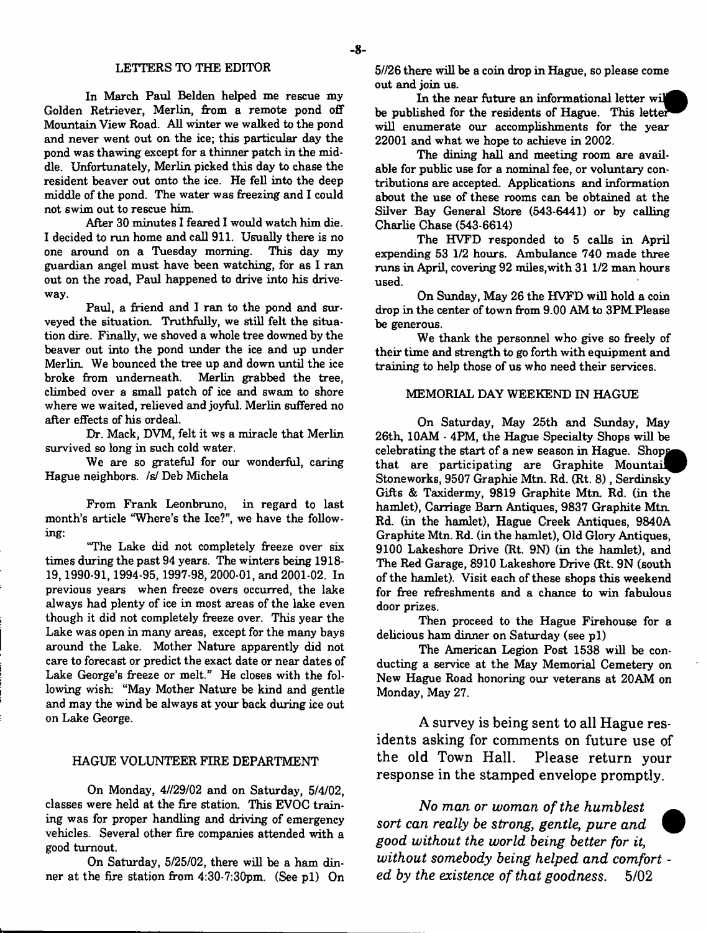### LETTERS TO THE EDITOR

In March Paul Belden helped me rescue my Golden Retriever, Merlin, from a remote pond off Mountain View Road. All winter we walked to the pond and never went out on the ice; this particular day the pond was thawing except for a thinner patch in the middle. Unfortunately, Merlin picked this day to chase the resident beaver out onto the ice. He fell into the deep middle of the pond. The water was freezing and I could not swim out to rescue him.

After 30 minutes I feared I would watch him die. I decided to run home and call 911. Usually there is no one around on a Tuesday morning. This day my guardian angel must have been watching, for as I ran out on the road, Paul happened to drive into his driveway.

Paul, a friend and I ran to the pond and surveyed the situation. Truthfully, we still felt the situation dire. Finally, we shoved a whole tree downed by the beaver out into the pond under the ice and up under Merlin. We bounced the tree up and down until the ice broke from underneath. Merlin grabbed the tree, climbed over a small patch of ice and swam to shore where we waited, relieved and joyful. Merlin suffered no after effects of his ordeal.

Dr. Mack, DVM, felt it ws a miracle that Merlin survived so long in such cold water.

We are so grateful for our wonderful, caring Hague neighbors, /s/ Deb Michela

From Frank Leonbruno, in regard to last month's article "Where's the Ice?", we have the following:

"The Lake did not completely freeze over six times during the past 94 years. The winters being 1918- 19,1990-91,1994-95,1997-98,2000-01, and 2001-02. In previous years when freeze overs occurred, the lake always had plenty of ice in most areas of the lake even though it did not completely freeze over. This year the Lake was open in many areas, except for the many bays around the Lake. Mother Nature apparently did not care to forecast or predict the exact date or near dates of Lake George's freeze or melt." He closes with the following wish: "May Mother Nature be kind and gentle and may the wind be always at your back during ice out on Lake George.

### HAGUE VOLUNTEER FIRE DEPARTMENT

On Monday, 4//29/02 and on Saturday, 5/4/02, classes were held at the fire station. This EVOC train ing was for proper handling and driving of emergency vehicles. Several other fire companies attended with a good turnout.

On Saturday, 5/25/02, there will be a ham dinner at the fire station from  $4:30.7:30$ pm. (See p1) On 5//26 there will be a coin drop in Hague, so please come out and join us.

In the near future an informational letter wil be published for the residents of Hague. This letter will enumerate our accomplishments for the year 22001 and what we hope to achieve in 2002.

The dining hall and meeting room are available for public use for a nominal fee, or voluntary contributions are accepted. Applications and information about the use of these rooms can be obtained at the Silver Bay General Store (543-6441) or by calling Charlie Chase (543-6614)

The HVFD responded to 5 calls in April expending 53 1/2 hours. Ambulance 740 made three runs in April, covering 92 miles, with 31 1/2 man hours used.

On Sunday, May 26 the HVFD will hold a coin drop in the center of town from 9.00 AM to 3PM Please be generous.

We thank the personnel who give so freely of their time and strength to go forth with equipment and training to help those of us who need their services.

### MEMORIAL DAY WEEKEND IN HAGUE

On Saturday, May 25th and Sunday, May 26th, 10AM - 4PM, the Hague Specialty Shops will be celebrating the start of a new season in Hague. Shops that are participating are Graphite Mountail Stoneworks, 9507 Graphie Mtn. Rd. (Rt. 8), Serdinsky Gifts & Taxidermy, 9819 Graphite Mtn. Rd. (in the hamlet), Carriage Barn Antiques, 9837 Graphite Mtn. Rd. (in the hamlet), Hague Creek Antiques, 9840A Graphite Mtn. Rd. (in the hamlet), Old Glory Antiques, 9100 Lakeshore Drive (Rt. 9N) (in the hamlet), and The Red Garage, 8910 Lakeshore Drive (Rt. 9N (south of the hamlet). Visit each of these shops this weekend for free refreshments and a chance to win fabulous door prizes.

Then proceed to the Hague Firehouse for a delicious ham dinner on Saturday (see p1)

The American Legion Post 1538 will be conducting a service at the May Memorial Cemetery on New Hague Road honoring our veterans at 20AM on Monday, May 27.

**A survey is being sent to all Hague residents asking for comments on future use of the old Town Hall. Please return your response in the stamped envelope promptly.**

*No man or woman of the humblest sort can really be strong***,** *gentle, pure and good without the world being better for it, without somebody being helped and comfort* *ed by the existence of that goodness.* **5/02**

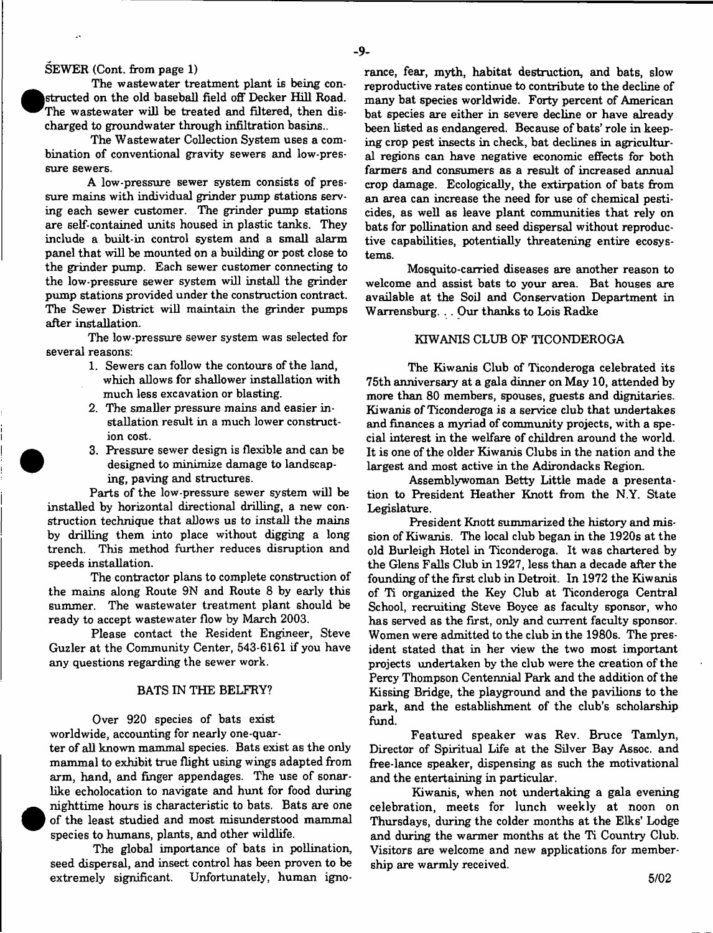#### SEWER (Cont. from page 1)

 $\mathbf{r}$ 

The wastewater treatment plant is being con-**(**structed on the old baseball field off Decker Hill Refraction basing the wastewater will be treated and filtered, then charged to groundwater through infiltration basins... structed on the old baseball field off Decker Hill Road. The wastewater will be treated and filtered, then dis-

The Wastewater Collection System uses a combination of conventional gravity sewers and low-pressure sewers.

A low-pressure sewer system consists of pressure mains with individual grinder pump stations serving each sewer customer. The grinder pump stations are self-contained units housed in plastic tanks. They include a built-in control system and a small alarm panel that will be mounted on a building or post close to the grinder pump. Each sewer customer connecting to the low-pressure sewer system will install the grinder pump stations provided under the construction contract. The Sewer District will maintain the grinder pumps after installation.

The low-pressure sewer system was selected for several reasons:

- 1. Sewers can follow the contours of the land, which allows for shallower installation with much less excavation or blasting.
- 2. The smaller pressure mains and easier installation result in a much lower construction cost.
- 3. Pressure sewer design is flexible and can be designed to minimize damage to landscaping, paving and structures.

Parts of the low-pressure sewer system will be installed by horizontal directional drilling, a new construction technique that allows us to install the mains by drilling them into place without digging a long trench. This method further reduces disruption and speeds installation.

The contractor plans to complete construction of the mains along Route 9N and Route 8 by early this summer. The wastewater treatment plant should be ready to accept wastewater flow by March 2003.

Please contact the Resident Engineer, Steve Guzler at the Community Center, 543-6161 if you have any questions regarding the sewer work.

#### BATS IN THE BELFRY?

Over 920 species of bats exist worldwide, accounting for nearly one-quarter of all known mammal species. Bats exist as the only mammal to exhibit true flight using wings adapted from

arm, hand, and finger appendages. The use of sonarlike echolocation to navigate and hunt for food during nighttime hours is characteristic to bats. Bats are one of the least studied and most misunderstood mammal species to humans, plants, and other wildlife.

The global importance of bats in pollination, seed dispersal, and insect control has been proven to be extremely significant. Unfortunately, human ignorance, fear, myth, habitat destruction, and bats, slow reproductive rates continue to contribute to the decline of many bat species worldwide. Forty percent of American bat species are either in severe decline or have already been listed as endangered. Because of bats' role in keeping crop pest insects in check, bat declines in agricultural regions can have negative economic effects for both farmers and consumers as a result of increased annual crop damage. Ecologically, the extirpation of bats from an area can increase the need for use of chemical pesticides, as well as leave plant communities that rely on bats for pollination and seed dispersal without reproductive capabilities, potentially threatening entire ecosystems.

Mosquito-carried diseases are another reason to welcome and assist bats to your area. Bat houses are available at the Soil and Conservation Department in Warrensburg. . . Our thanks to Lois Radke

### KIWANIS CLUB OF TICONDEROGA

The Kiwanis Club of Ticonderoga celebrated its 75th anniversary at a gala dinner on May 10, attended by more than 80 members, spouses, guests and dignitaries. Kiwanis of Ticonderoga is a service club that undertakes and finances a myriad of community projects, with a special interest in the welfare of children around the world. It is one of the older Kiwanis Clubs in the nation and the largest and most active in the Adirondacks Region.

Assemblywoman Betty Little made a presentation to President Heather Knott from the N.Y. State Legislature.

President Knott summarized the history and mission of Kiwanis. The local club began in the 1920s at the old Burleigh Hotel in Ticonderoga. It was chartered by the Glens Falls Club in 1927, less than a decade after the founding of the first club in Detroit. In 1972 the Kiwanis of Ti organized the Key Club at Ticonderoga Central School, recruiting Steve Boyce as faculty sponsor, who has served as the first, only and current faculty sponsor. Women were admitted to the club in the 1980s. The president stated that in her view the two most important projects undertaken by the club were the creation of the Percy Thompson Centennial Park and the addition of the Kissing Bridge, the playground and the pavilions to the park, and the establishment of the club's scholarship fund.

Featured speaker was Rev. Bruce Tamlyn, Director of Spiritual Life at the Silver Bay Assoc, and free-lance speaker, dispensing as such the motivational and the entertaining in particular.

Kiwanis, when not undertaking a gala evening celebration, meets for lunch weekly at noon on Thursdays, during the colder months at the Elks' Lodge and during the warmer months at the Ti Country Club. Visitors are welcome and new applications for membership are warmly received.